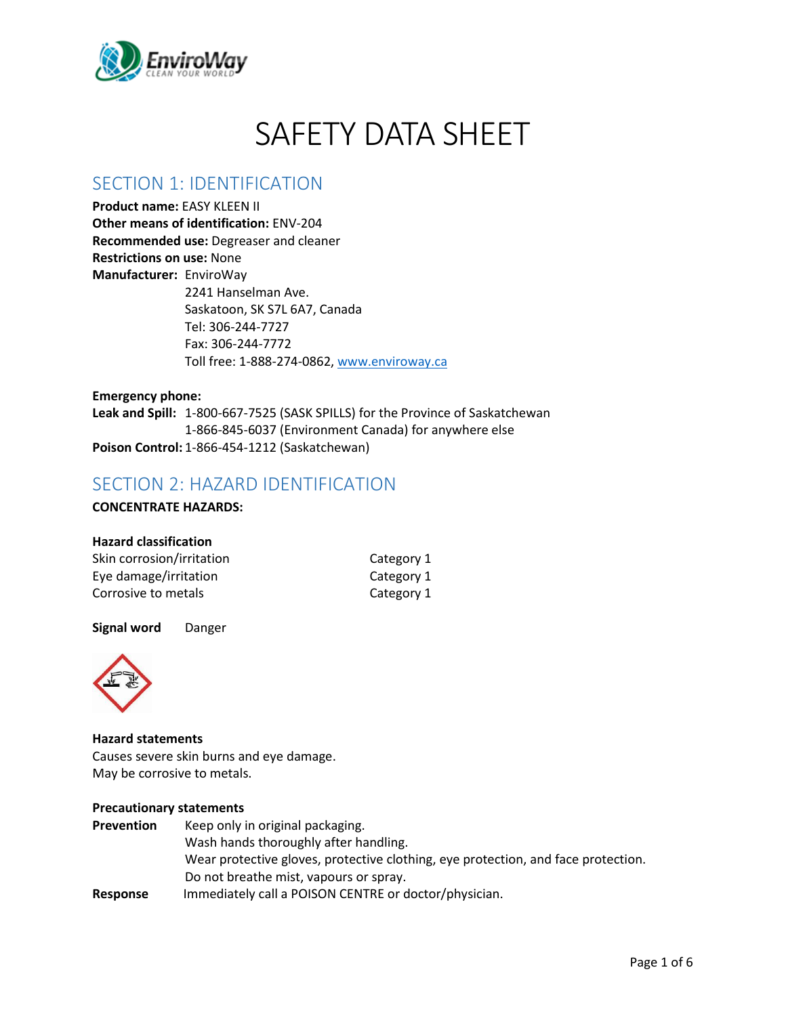

# SAFETY DATA SHEET

### SECTION 1: IDENTIFICATION

**Product name:** EASY KLEEN II

**Other means of identification:** ENV-204 **Recommended use:** Degreaser and cleaner **Restrictions on use:** None **Manufacturer:** EnviroWay 2241 Hanselman Ave. Saskatoon, SK S7L 6A7, Canada Tel: 306-244-7727 Fax: 306-244-7772 Toll free: 1-888-274-0862, [www.enviroway.ca](http://www.enviroway.ca/)

**Emergency phone: Leak and Spill:** 1-800-667-7525 (SASK SPILLS) for the Province of Saskatchewan 1-866-845-6037 (Environment Canada) for anywhere else **Poison Control:** 1-866-454-1212 (Saskatchewan)

# SECTION 2: HAZARD IDENTIFICATION

**CONCENTRATE HAZARDS:**

#### **Hazard classification**

| Skin corrosion/irritation | Category 1 |
|---------------------------|------------|
| Eye damage/irritation     | Category 1 |
| Corrosive to metals       | Category 1 |

#### **Signal word** Danger



**Hazard statements**

Causes severe skin burns and eye damage. May be corrosive to metals.

#### **Precautionary statements**

| <b>Prevention</b> | Keep only in original packaging.                                                  |
|-------------------|-----------------------------------------------------------------------------------|
|                   | Wash hands thoroughly after handling.                                             |
|                   | Wear protective gloves, protective clothing, eye protection, and face protection. |
|                   | Do not breathe mist, vapours or spray.                                            |
| Response          | Immediately call a POISON CENTRE or doctor/physician.                             |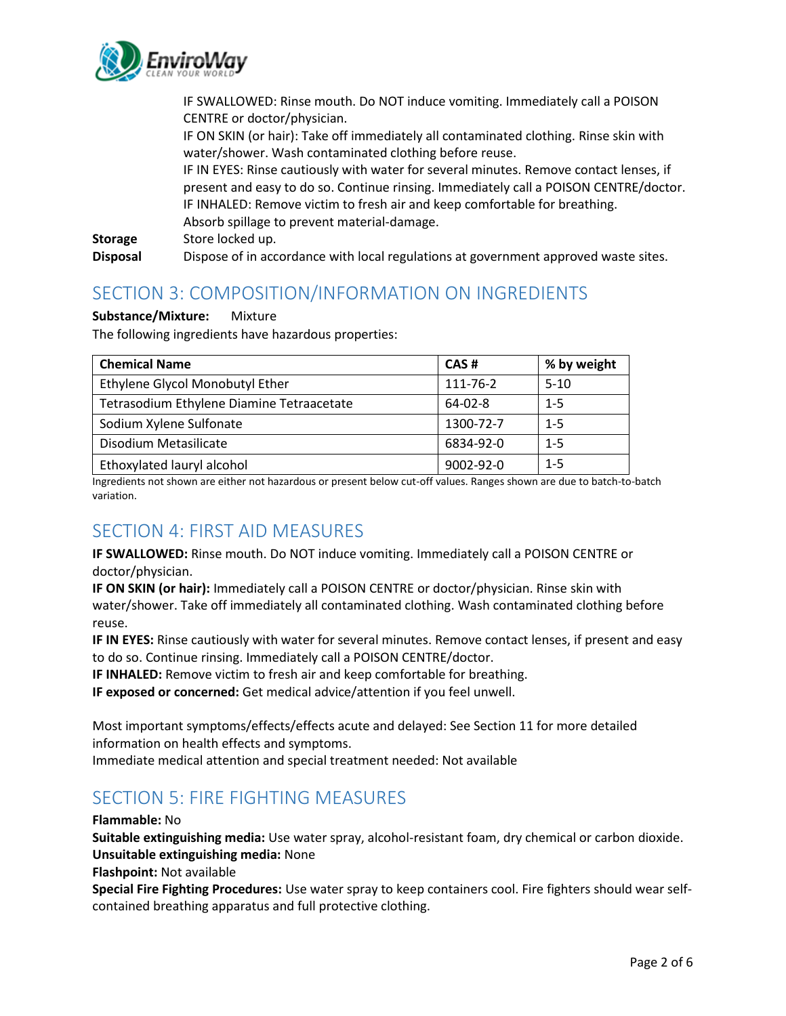

IF SWALLOWED: Rinse mouth. Do NOT induce vomiting. Immediately call a POISON CENTRE or doctor/physician. IF ON SKIN (or hair): Take off immediately all contaminated clothing. Rinse skin with water/shower. Wash contaminated clothing before reuse. IF IN EYES: Rinse cautiously with water for several minutes. Remove contact lenses, if present and easy to do so. Continue rinsing. Immediately call a POISON CENTRE/doctor. IF INHALED: Remove victim to fresh air and keep comfortable for breathing. Absorb spillage to prevent material-damage. **Storage** Store locked up. **Disposal** Dispose of in accordance with local regulations at government approved waste sites.

# SECTION 3: COMPOSITION/INFORMATION ON INGREDIENTS

#### **Substance/Mixture:** Mixture

The following ingredients have hazardous properties:

| <b>Chemical Name</b>                      | CAS#      | % by weight |
|-------------------------------------------|-----------|-------------|
| Ethylene Glycol Monobutyl Ether           | 111-76-2  | $5 - 10$    |
| Tetrasodium Ethylene Diamine Tetraacetate | 64-02-8   | $1 - 5$     |
| Sodium Xylene Sulfonate                   | 1300-72-7 | $1 - 5$     |
| Disodium Metasilicate                     | 6834-92-0 | $1 - 5$     |
| Ethoxylated lauryl alcohol                | 9002-92-0 | $1 - 5$     |

Ingredients not shown are either not hazardous or present below cut-off values. Ranges shown are due to batch-to-batch variation.

### SECTION 4: FIRST AID MEASURES

**IF SWALLOWED:** Rinse mouth. Do NOT induce vomiting. Immediately call a POISON CENTRE or doctor/physician.

**IF ON SKIN (or hair):** Immediately call a POISON CENTRE or doctor/physician. Rinse skin with water/shower. Take off immediately all contaminated clothing. Wash contaminated clothing before reuse.

**IF IN EYES:** Rinse cautiously with water for several minutes. Remove contact lenses, if present and easy to do so. Continue rinsing. Immediately call a POISON CENTRE/doctor.

**IF INHALED:** Remove victim to fresh air and keep comfortable for breathing.

**IF exposed or concerned:** Get medical advice/attention if you feel unwell.

Most important symptoms/effects/effects acute and delayed: See Section 11 for more detailed information on health effects and symptoms.

Immediate medical attention and special treatment needed: Not available

# SECTION 5: FIRE FIGHTING MEASURES

**Flammable:** No

**Suitable extinguishing media:** Use water spray, alcohol-resistant foam, dry chemical or carbon dioxide. **Unsuitable extinguishing media:** None

**Flashpoint:** Not available

**Special Fire Fighting Procedures:** Use water spray to keep containers cool. Fire fighters should wear selfcontained breathing apparatus and full protective clothing.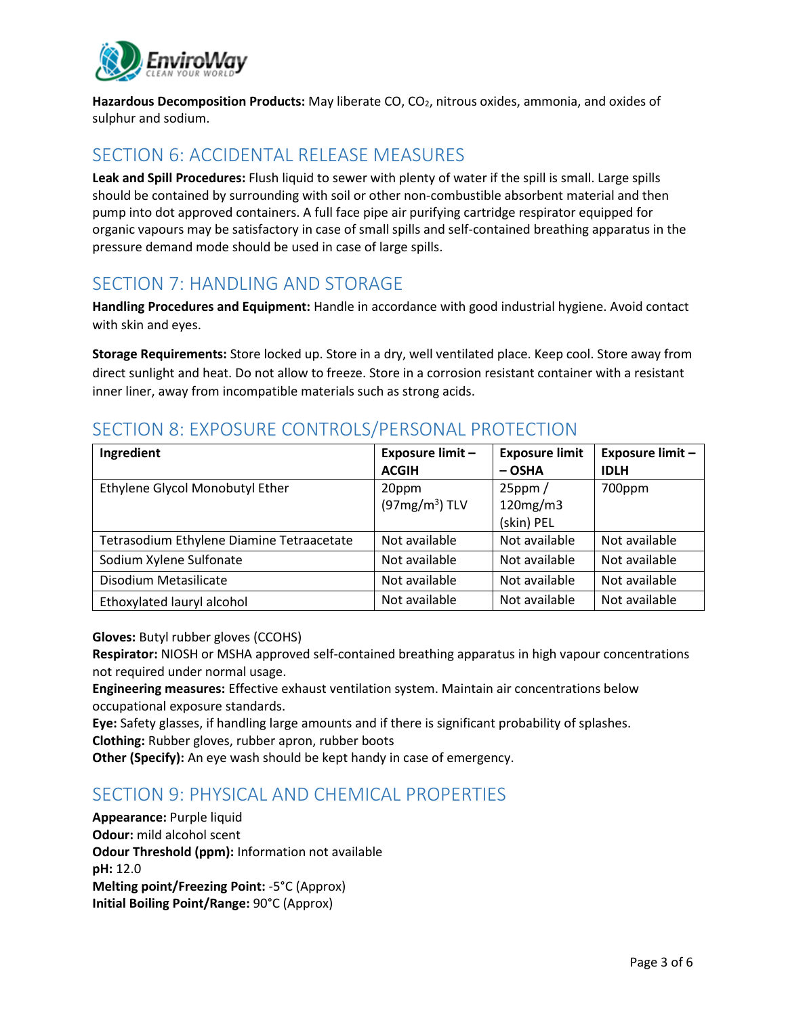

**Hazardous Decomposition Products:** May liberate CO, CO2, nitrous oxides, ammonia, and oxides of sulphur and sodium.

#### SECTION 6: ACCIDENTAL RELEASE MEASURES

**Leak and Spill Procedures:** Flush liquid to sewer with plenty of water if the spill is small. Large spills should be contained by surrounding with soil or other non-combustible absorbent material and then pump into dot approved containers. A full face pipe air purifying cartridge respirator equipped for organic vapours may be satisfactory in case of small spills and self-contained breathing apparatus in the pressure demand mode should be used in case of large spills.

# SECTION 7: HANDLING AND STORAGE

**Handling Procedures and Equipment:** Handle in accordance with good industrial hygiene. Avoid contact with skin and eyes.

**Storage Requirements:** Store locked up. Store in a dry, well ventilated place. Keep cool. Store away from direct sunlight and heat. Do not allow to freeze. Store in a corrosion resistant container with a resistant inner liner, away from incompatible materials such as strong acids.

# SECTION 8: EXPOSURE CONTROLS/PERSONAL PROTECTION

| Ingredient                                | <b>Exposure limit -</b><br><b>ACGIH</b> | <b>Exposure limit</b><br>$-$ OSHA      | <b>Exposure limit -</b><br><b>IDLH</b> |
|-------------------------------------------|-----------------------------------------|----------------------------------------|----------------------------------------|
| Ethylene Glycol Monobutyl Ether           | 20ppm<br>$(97mg/m3)$ TLV                | $25$ ppm $/$<br>120mg/m3<br>(skin) PEL | 700ppm                                 |
| Tetrasodium Ethylene Diamine Tetraacetate | Not available                           | Not available                          | Not available                          |
| Sodium Xylene Sulfonate                   | Not available                           | Not available                          | Not available                          |
| Disodium Metasilicate                     | Not available                           | Not available                          | Not available                          |
| Ethoxylated lauryl alcohol                | Not available                           | Not available                          | Not available                          |

**Gloves:** Butyl rubber gloves (CCOHS)

**Respirator:** NIOSH or MSHA approved self-contained breathing apparatus in high vapour concentrations not required under normal usage.

**Engineering measures:** Effective exhaust ventilation system. Maintain air concentrations below occupational exposure standards.

**Eye:** Safety glasses, if handling large amounts and if there is significant probability of splashes. **Clothing:** Rubber gloves, rubber apron, rubber boots

**Other (Specify):** An eye wash should be kept handy in case of emergency.

# SECTION 9: PHYSICAL AND CHEMICAL PROPERTIES

**Appearance:** Purple liquid **Odour:** mild alcohol scent **Odour Threshold (ppm):** Information not available **pH:** 12.0 **Melting point/Freezing Point:** -5°C (Approx) **Initial Boiling Point/Range:** 90°C (Approx)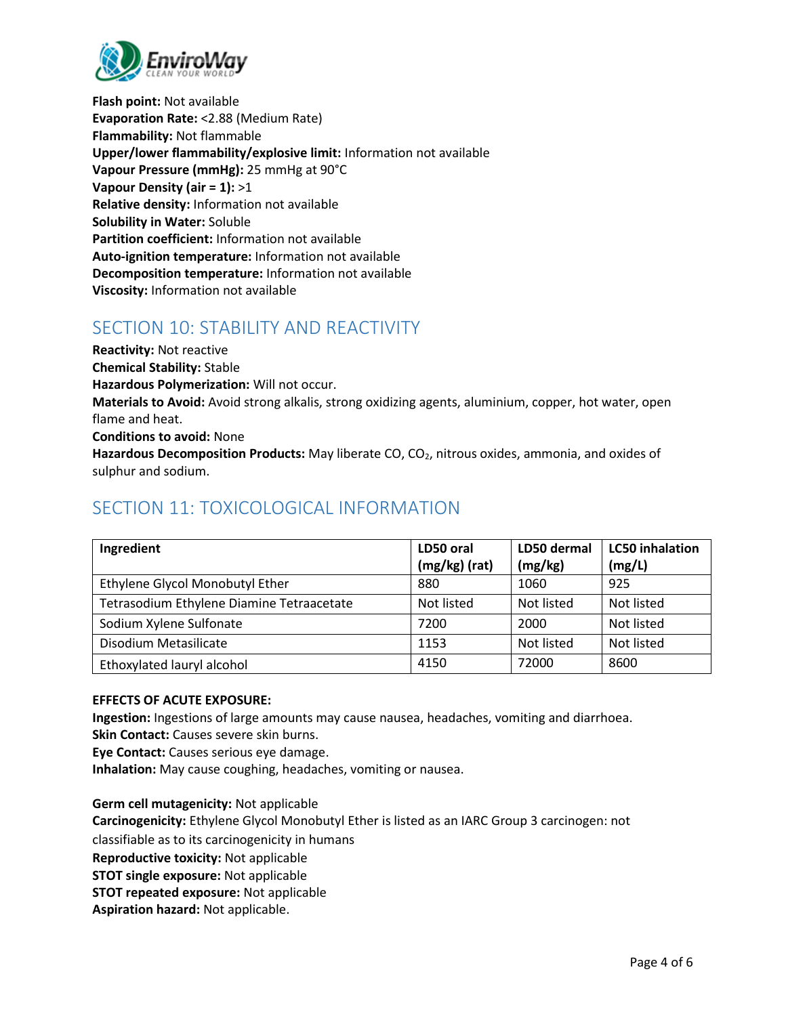

**Flash point:** Not available **Evaporation Rate:** <2.88 (Medium Rate) **Flammability:** Not flammable **Upper/lower flammability/explosive limit:** Information not available **Vapour Pressure (mmHg):** 25 mmHg at 90°C **Vapour Density (air = 1):** >1 **Relative density:** Information not available **Solubility in Water:** Soluble **Partition coefficient:** Information not available **Auto-ignition temperature:** Information not available **Decomposition temperature:** Information not available **Viscosity:** Information not available

### SECTION 10: STABILITY AND REACTIVITY

**Reactivity:** Not reactive **Chemical Stability:** Stable **Hazardous Polymerization:** Will not occur. **Materials to Avoid:** Avoid strong alkalis, strong oxidizing agents, aluminium, copper, hot water, open flame and heat. **Conditions to avoid:** None **Hazardous Decomposition Products:** May liberate CO, CO2, nitrous oxides, ammonia, and oxides of

sulphur and sodium.

# SECTION 11: TOXICOLOGICAL INFORMATION

| Ingredient                                | LD50 oral<br>(mg/kg) (rat) | LD50 dermal<br>(mg/kg) | <b>LC50</b> inhalation<br>(mg/L) |
|-------------------------------------------|----------------------------|------------------------|----------------------------------|
| Ethylene Glycol Monobutyl Ether           | 880                        | 1060                   | 925                              |
| Tetrasodium Ethylene Diamine Tetraacetate | Not listed                 | Not listed             | Not listed                       |
| Sodium Xylene Sulfonate                   | 7200                       | 2000                   | Not listed                       |
| Disodium Metasilicate                     | 1153                       | Not listed             | Not listed                       |
| Ethoxylated lauryl alcohol                | 4150                       | 72000                  | 8600                             |

#### **EFFECTS OF ACUTE EXPOSURE:**

**Ingestion:** Ingestions of large amounts may cause nausea, headaches, vomiting and diarrhoea. **Skin Contact:** Causes severe skin burns.

**Eye Contact:** Causes serious eye damage.

**Inhalation:** May cause coughing, headaches, vomiting or nausea.

**Germ cell mutagenicity:** Not applicable **Carcinogenicity:** Ethylene Glycol Monobutyl Ether is listed as an IARC Group 3 carcinogen: not classifiable as to its carcinogenicity in humans **Reproductive toxicity:** Not applicable **STOT single exposure:** Not applicable **STOT repeated exposure:** Not applicable **Aspiration hazard:** Not applicable.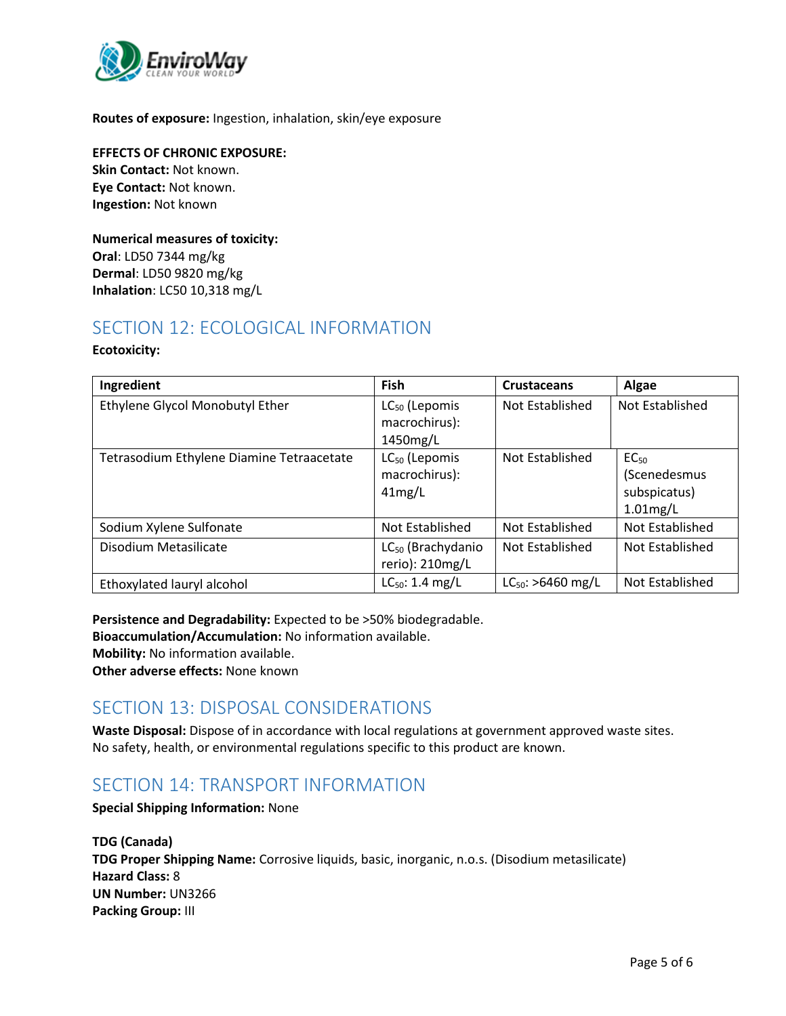

**Routes of exposure:** Ingestion, inhalation, skin/eye exposure

**EFFECTS OF CHRONIC EXPOSURE: Skin Contact:** Not known. **Eye Contact:** Not known. **Ingestion:** Not known

**Numerical measures of toxicity: Oral**: LD50 7344 mg/kg **Dermal**: LD50 9820 mg/kg **Inhalation**: LC50 10,318 mg/L

# SECTION 12: ECOLOGICAL INFORMATION

#### **Ecotoxicity:**

| Ingredient                                | Fish                                                   | <b>Crustaceans</b>     | Algae                                                           |
|-------------------------------------------|--------------------------------------------------------|------------------------|-----------------------------------------------------------------|
| Ethylene Glycol Monobutyl Ether           | LC <sub>50</sub> (Lepomis<br>macrochirus):<br>1450mg/L | Not Established        | Not Established                                                 |
| Tetrasodium Ethylene Diamine Tetraacetate | LC <sub>50</sub> (Lepomis<br>macrochirus):<br>41mg/L   | Not Established        | EC <sub>50</sub><br>(Scenedesmus<br>subspicatus)<br>$1.01$ mg/L |
| Sodium Xylene Sulfonate                   | Not Established                                        | Not Established        | Not Established                                                 |
| Disodium Metasilicate                     | LC <sub>50</sub> (Brachydanio<br>rerio): 210mg/L       | Not Established        | Not Established                                                 |
| Ethoxylated lauryl alcohol                | $LC_{50}$ : 1.4 mg/L                                   | $LC_{50}$ : >6460 mg/L | Not Established                                                 |

**Persistence and Degradability:** Expected to be >50% biodegradable.

**Bioaccumulation/Accumulation:** No information available.

**Mobility:** No information available.

**Other adverse effects:** None known

### SECTION 13: DISPOSAL CONSIDERATIONS

**Waste Disposal:** Dispose of in accordance with local regulations at government approved waste sites. No safety, health, or environmental regulations specific to this product are known.

### SECTION 14: TRANSPORT INFORMATION

**Special Shipping Information:** None

**TDG (Canada) TDG Proper Shipping Name:** Corrosive liquids, basic, inorganic, n.o.s. (Disodium metasilicate) **Hazard Class:** 8 **UN Number:** UN3266 **Packing Group:** III